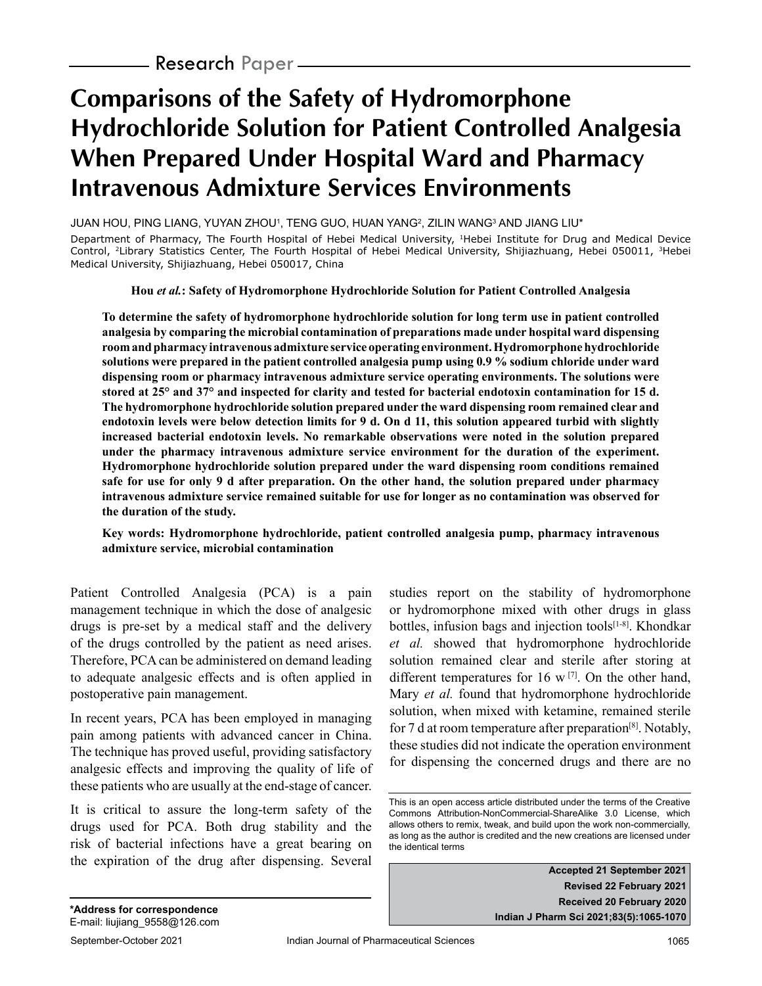# **Comparisons of the Safety of Hydromorphone Hydrochloride Solution for Patient Controlled Analgesia When Prepared Under Hospital Ward and Pharmacy Intravenous Admixture Services Environments**

JUAN HOU, PING LIANG, YUYAN ZHOU', TENG GUO, HUAN YANG<sup>2</sup>, ZILIN WANG<sup>3</sup> AND JIANG LIU\*

Department of Pharmacy, The Fourth Hospital of Hebei Medical University, 1Hebei Institute for Drug and Medical Device Control, <sup>2</sup>Library Statistics Center, The Fourth Hospital of Hebei Medical University, Shijiazhuang, Hebei 050011, <sup>3</sup>Hebei Medical University, Shijiazhuang, Hebei 050017, China

**Hou** *et al.***: Safety of Hydromorphone Hydrochloride Solution for Patient Controlled Analgesia**

**To determine the safety of hydromorphone hydrochloride solution for long term use in patient controlled analgesia by comparing the microbial contamination of preparations made under hospital ward dispensing room and pharmacy intravenous admixture service operating environment. Hydromorphone hydrochloride solutions were prepared in the patient controlled analgesia pump using 0.9 % sodium chloride under ward dispensing room or pharmacy intravenous admixture service operating environments. The solutions were stored at 25° and 37° and inspected for clarity and tested for bacterial endotoxin contamination for 15 d. The hydromorphone hydrochloride solution prepared under the ward dispensing room remained clear and endotoxin levels were below detection limits for 9 d. On d 11, this solution appeared turbid with slightly increased bacterial endotoxin levels. No remarkable observations were noted in the solution prepared under the pharmacy intravenous admixture service environment for the duration of the experiment. Hydromorphone hydrochloride solution prepared under the ward dispensing room conditions remained safe for use for only 9 d after preparation. On the other hand, the solution prepared under pharmacy intravenous admixture service remained suitable for use for longer as no contamination was observed for the duration of the study.**

#### **Key words: Hydromorphone hydrochloride, patient controlled analgesia pump, pharmacy intravenous admixture service, microbial contamination**

Patient Controlled Analgesia (PCA) is a pain management technique in which the dose of analgesic drugs is pre-set by a medical staff and the delivery of the drugs controlled by the patient as need arises. Therefore, PCA can be administered on demand leading to adequate analgesic effects and is often applied in postoperative pain management.

In recent years, PCA has been employed in managing pain among patients with advanced cancer in China. The technique has proved useful, providing satisfactory analgesic effects and improving the quality of life of these patients who are usually at the end-stage of cancer.

It is critical to assure the long-term safety of the drugs used for PCA. Both drug stability and the risk of bacterial infections have a great bearing on the expiration of the drug after dispensing. Several

studies report on the stability of hydromorphone or hydromorphone mixed with other drugs in glass bottles, infusion bags and injection tools $[1-8]$ . Khondkar *et al.* showed that hydromorphone hydrochloride solution remained clear and sterile after storing at different temperatures for 16  $w$ <sup>[7]</sup>. On the other hand, Mary *et al.* found that hydromorphone hydrochloride solution, when mixed with ketamine, remained sterile for 7 d at room temperature after preparation<sup>[8]</sup>. Notably, these studies did not indicate the operation environment for dispensing the concerned drugs and there are no

**Accepted 21 September 2021 Revised 22 February 2021 Received 20 February 2020 Indian J Pharm Sci 2021;83(5):1065-1070**

This is an open access article distributed under the terms of the Creative Commons Attribution-NonCommercial-ShareAlike 3.0 License, which allows others to remix, tweak, and build upon the work non-commercially, as long as the author is credited and the new creations are licensed under the identical terms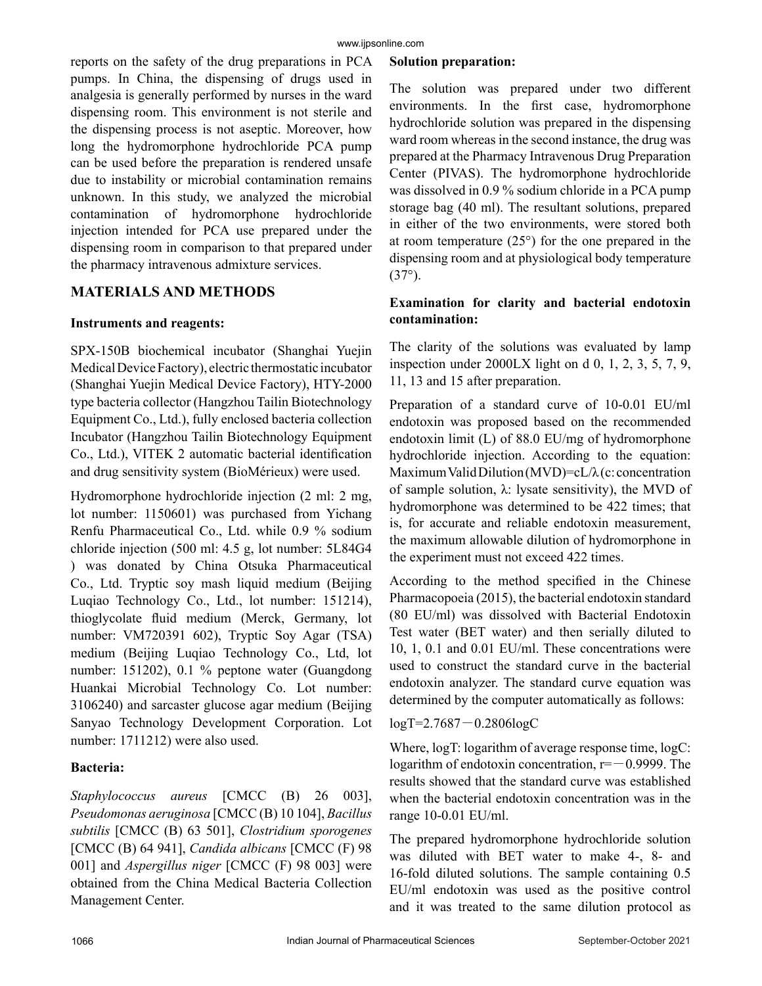reports on the safety of the drug preparations in PCA pumps. In China, the dispensing of drugs used in analgesia is generally performed by nurses in the ward dispensing room. This environment is not sterile and the dispensing process is not aseptic. Moreover, how long the hydromorphone hydrochloride PCA pump can be used before the preparation is rendered unsafe due to instability or microbial contamination remains unknown. In this study, we analyzed the microbial contamination of hydromorphone hydrochloride injection intended for PCA use prepared under the dispensing room in comparison to that prepared under the pharmacy intravenous admixture services.

#### **MATERIALS AND METHODS**

#### **Instruments and reagents:**

SPX-150B biochemical incubator (Shanghai Yuejin Medical Device Factory), electric thermostatic incubator (Shanghai Yuejin Medical Device Factory), HTY-2000 type bacteria collector (Hangzhou Tailin Biotechnology Equipment Co., Ltd.), fully enclosed bacteria collection Incubator (Hangzhou Tailin Biotechnology Equipment Co., Ltd.), VITEK 2 automatic bacterial identification and drug sensitivity system (BioMérieux) were used.

Hydromorphone hydrochloride injection (2 ml: 2 mg, lot number: 1150601) was purchased from Yichang Renfu Pharmaceutical Co., Ltd. while 0.9 % sodium chloride injection (500 ml: 4.5 g, lot number: 5L84G4 ) was donated by China Otsuka Pharmaceutical Co., Ltd. Tryptic soy mash liquid medium (Beijing Luqiao Technology Co., Ltd., lot number: 151214), thioglycolate fluid medium (Merck, Germany, lot number: VM720391 602), Tryptic Soy Agar (TSA) medium (Beijing Luqiao Technology Co., Ltd, lot number: 151202), 0.1 % peptone water (Guangdong Huankai Microbial Technology Co. Lot number: 3106240) and sarcaster glucose agar medium (Beijing Sanyao Technology Development Corporation. Lot number: 1711212) were also used.

#### **Bacteria:**

*Staphylococcus aureus* [CMCC (B) 26 003], *Pseudomonas aeruginosa* [CMCC (B) 10 104], *Bacillus subtilis* [CMCC (B) 63 501], *Clostridium sporogenes* [CMCC (B) 64 941], *Candida albicans* [CMCC (F) 98 001] and *Aspergillus niger* [CMCC (F) 98 003] were obtained from the China Medical Bacteria Collection Management Center.

#### **Solution preparation:**

The solution was prepared under two different environments. In the first case, hydromorphone hydrochloride solution was prepared in the dispensing ward room whereas in the second instance, the drug was prepared at the Pharmacy Intravenous Drug Preparation Center (PIVAS). The hydromorphone hydrochloride was dissolved in 0.9 % sodium chloride in a PCA pump storage bag (40 ml). The resultant solutions, prepared in either of the two environments, were stored both at room temperature (25°) for the one prepared in the dispensing room and at physiological body temperature  $(37°)$ .

#### **Examination for clarity and bacterial endotoxin contamination:**

The clarity of the solutions was evaluated by lamp inspection under  $2000$ LX light on d 0, 1, 2, 3, 5, 7, 9, 11, 13 and 15 after preparation.

Preparation of a standard curve of 10-0.01 EU/ml endotoxin was proposed based on the recommended endotoxin limit (L) of 88.0 EU/mg of hydromorphone hydrochloride injection. According to the equation: Maximum Valid Dilution (MVD)=cL/λ (c: concentration of sample solution,  $\lambda$ : lysate sensitivity), the MVD of hydromorphone was determined to be 422 times; that is, for accurate and reliable endotoxin measurement, the maximum allowable dilution of hydromorphone in the experiment must not exceed 422 times.

According to the method specified in the Chinese Pharmacopoeia (2015), the bacterial endotoxin standard (80 EU/ml) was dissolved with Bacterial Endotoxin Test water (BET water) and then serially diluted to 10, 1, 0.1 and 0.01 EU/ml. These concentrations were used to construct the standard curve in the bacterial endotoxin analyzer. The standard curve equation was determined by the computer automatically as follows:

#### $logT=2.7687-0.2806logC$

Where, logT: logarithm of average response time, logC: logarithm of endotoxin concentration,  $r=-0.9999$ . The results showed that the standard curve was established when the bacterial endotoxin concentration was in the range 10-0.01 EU/ml.

The prepared hydromorphone hydrochloride solution was diluted with BET water to make 4-, 8- and 16-fold diluted solutions. The sample containing 0.5 EU/ml endotoxin was used as the positive control and it was treated to the same dilution protocol as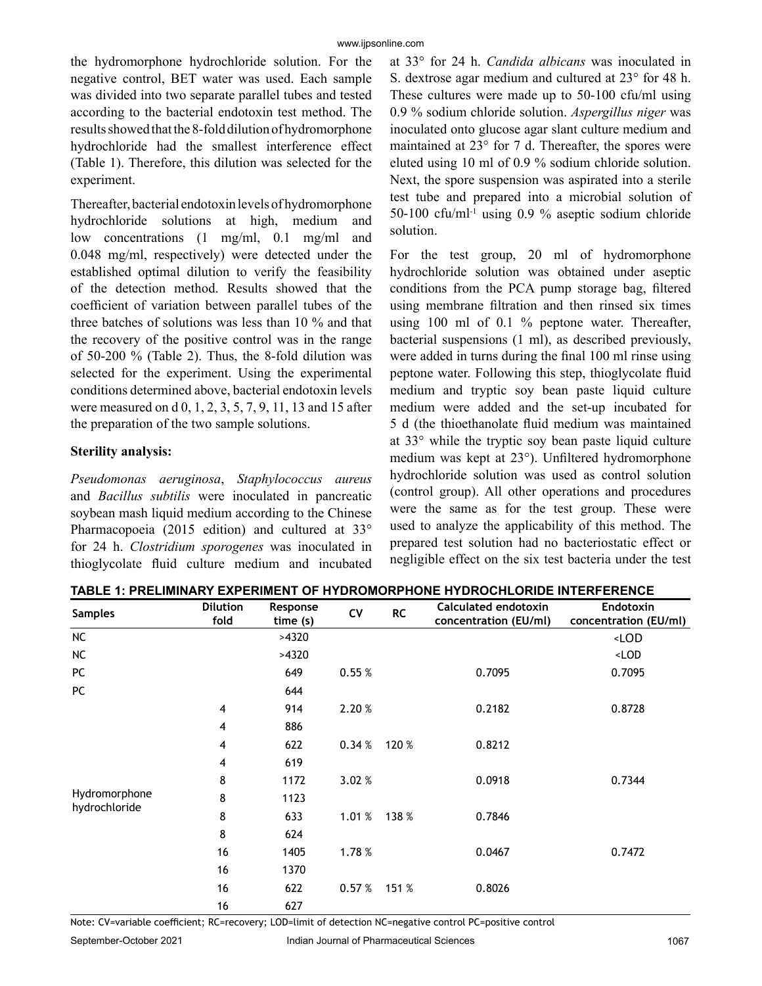the hydromorphone hydrochloride solution. For the negative control, BET water was used. Each sample was divided into two separate parallel tubes and tested according to the bacterial endotoxin test method. The results showed that the 8-fold dilution of hydromorphone hydrochloride had the smallest interference effect (Table 1). Therefore, this dilution was selected for the experiment.

Thereafter, bacterial endotoxin levels of hydromorphone hydrochloride solutions at high, medium and low concentrations (1 mg/ml, 0.1 mg/ml and 0.048 mg/ml, respectively) were detected under the established optimal dilution to verify the feasibility of the detection method. Results showed that the coefficient of variation between parallel tubes of the three batches of solutions was less than 10 % and that the recovery of the positive control was in the range of 50-200 % (Table 2). Thus, the 8-fold dilution was selected for the experiment. Using the experimental conditions determined above, bacterial endotoxin levels were measured on d 0, 1, 2, 3, 5, 7, 9, 11, 13 and 15 after the preparation of the two sample solutions.

#### **Sterility analysis:**

*Pseudomonas aeruginosa*, *Staphylococcus aureus* and *Bacillus subtilis* were inoculated in pancreatic soybean mash liquid medium according to the Chinese Pharmacopoeia (2015 edition) and cultured at 33° for 24 h. *Clostridium sporogenes* was inoculated in thioglycolate fluid culture medium and incubated at 33° for 24 h. *Candida albicans* was inoculated in S. dextrose agar medium and cultured at 23° for 48 h. These cultures were made up to 50-100 cfu/ml using 0.9 % sodium chloride solution. *Aspergillus niger* was inoculated onto glucose agar slant culture medium and maintained at 23° for 7 d. Thereafter, the spores were eluted using 10 ml of 0.9 % sodium chloride solution. Next, the spore suspension was aspirated into a sterile test tube and prepared into a microbial solution of 50-100 cfu/ml-1 using 0.9 % aseptic sodium chloride solution.

For the test group, 20 ml of hydromorphone hydrochloride solution was obtained under aseptic conditions from the PCA pump storage bag, filtered using membrane filtration and then rinsed six times using 100 ml of 0.1 % peptone water. Thereafter, bacterial suspensions (1 ml), as described previously, were added in turns during the final 100 ml rinse using peptone water. Following this step, thioglycolate fluid medium and tryptic soy bean paste liquid culture medium were added and the set-up incubated for 5 d (the thioethanolate fluid medium was maintained at 33° while the tryptic soy bean paste liquid culture medium was kept at 23°). Unfiltered hydromorphone hydrochloride solution was used as control solution (control group). All other operations and procedures were the same as for the test group. These were used to analyze the applicability of this method. The prepared test solution had no bacteriostatic effect or negligible effect on the six test bacteria under the test

| <b>Samples</b>                 | <b>Dilution</b><br>fold | Response<br>time (s) | CV     | <b>RC</b> | Calculated endotoxin<br>concentration (EU/ml) | Endotoxin<br>concentration (EU/ml) |
|--------------------------------|-------------------------|----------------------|--------|-----------|-----------------------------------------------|------------------------------------|
| <b>NC</b>                      |                         | >4320                |        |           |                                               | $<$ LOD                            |
| NC                             |                         | >4320                |        |           |                                               | <lod< td=""></lod<>                |
| PC                             |                         | 649                  | 0.55 % |           | 0.7095                                        | 0.7095                             |
| <b>PC</b>                      |                         | 644                  |        |           |                                               |                                    |
|                                | $\overline{\mathbf{4}}$ | 914                  | 2.20%  |           | 0.2182                                        | 0.8728                             |
|                                | $\overline{\mathbf{4}}$ | 886                  |        |           |                                               |                                    |
|                                | 4                       | 622                  | 0.34%  | 120 %     | 0.8212                                        |                                    |
|                                | $\overline{\mathbf{4}}$ | 619                  |        |           |                                               |                                    |
| Hydromorphone<br>hydrochloride | 8                       | 1172                 | 3.02 % |           | 0.0918                                        | 0.7344                             |
|                                | 8                       | 1123                 |        |           |                                               |                                    |
|                                | 8                       | 633                  | 1.01 % | 138 %     | 0.7846                                        |                                    |
|                                | 8                       | 624                  |        |           |                                               |                                    |
|                                | 16                      | 1405                 | 1.78 % |           | 0.0467                                        | 0.7472                             |
|                                | 16                      | 1370                 |        |           |                                               |                                    |
|                                | 16                      | 622                  | 0.57%  | 151 %     | 0.8026                                        |                                    |
|                                | 16                      | 627                  |        |           |                                               |                                    |

**TABLE 1: PRELIMINARY EXPERIMENT OF HYDROMORPHONE HYDROCHLORIDE INTERFERENCE**

September-October 2021 Indian Journal of Pharmaceutical Sciences 1067 Note: CV=variable coefficient; RC=recovery; LOD=limit of detection NC=negative control PC=positive control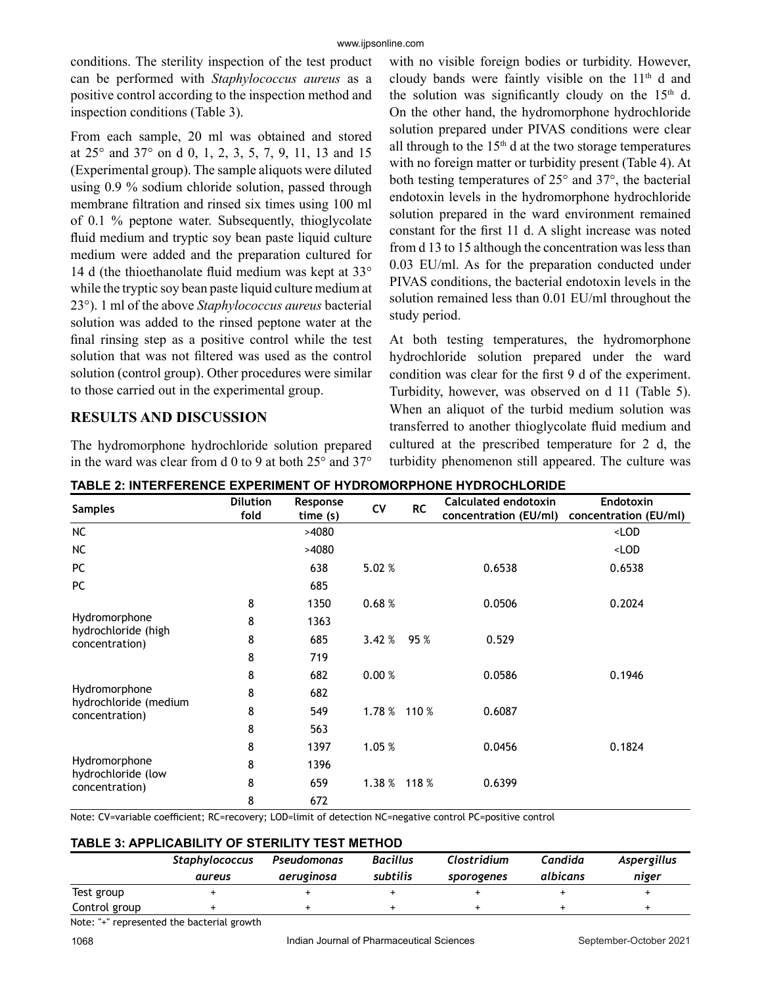#### www.ijpsonline.com

conditions. The sterility inspection of the test product can be performed with *Staphylococcus aureus* as a positive control according to the inspection method and inspection conditions (Table 3).

From each sample, 20 ml was obtained and stored at 25° and 37° on d 0, 1, 2, 3, 5, 7, 9, 11, 13 and 15 (Experimental group). The sample aliquots were diluted using 0.9 % sodium chloride solution, passed through membrane filtration and rinsed six times using 100 ml of 0.1 % peptone water. Subsequently, thioglycolate fluid medium and tryptic soy bean paste liquid culture medium were added and the preparation cultured for 14 d (the thioethanolate fluid medium was kept at 33° while the tryptic soy bean paste liquid culture medium at 23°). 1 ml of the above *Staphylococcus aureus* bacterial solution was added to the rinsed peptone water at the final rinsing step as a positive control while the test solution that was not filtered was used as the control solution (control group). Other procedures were similar to those carried out in the experimental group.

### **RESULTS AND DISCUSSION**

The hydromorphone hydrochloride solution prepared in the ward was clear from d 0 to 9 at both 25° and 37°

with no visible foreign bodies or turbidity. However, cloudy bands were faintly visible on the  $11<sup>th</sup>$  d and the solution was significantly cloudy on the  $15<sup>th</sup>$  d. On the other hand, the hydromorphone hydrochloride solution prepared under PIVAS conditions were clear all through to the  $15<sup>th</sup>$  d at the two storage temperatures with no foreign matter or turbidity present (Table 4). At both testing temperatures of 25° and 37°, the bacterial endotoxin levels in the hydromorphone hydrochloride solution prepared in the ward environment remained constant for the first 11 d. A slight increase was noted from d 13 to 15 although the concentration was less than 0.03 EU/ml. As for the preparation conducted under PIVAS conditions, the bacterial endotoxin levels in the solution remained less than 0.01 EU/ml throughout the study period.

At both testing temperatures, the hydromorphone hydrochloride solution prepared under the ward condition was clear for the first 9 d of the experiment. Turbidity, however, was observed on d 11 (Table 5). When an aliquot of the turbid medium solution was transferred to another thioglycolate fluid medium and cultured at the prescribed temperature for 2 d, the turbidity phenomenon still appeared. The culture was

| <b>Samples</b>                          | <b>Dilution</b> | Response | CV           | <b>RC</b> | <b>Calculated endotoxin</b> | Endotoxin             |  |  |
|-----------------------------------------|-----------------|----------|--------------|-----------|-----------------------------|-----------------------|--|--|
|                                         | fold            | time(s)  |              |           | concentration (EU/ml)       | concentration (EU/ml) |  |  |
| NC                                      |                 | >4080    |              |           |                             | <lod< td=""></lod<>   |  |  |
| NC                                      |                 | >4080    |              |           |                             | <lod< td=""></lod<>   |  |  |
| <b>PC</b>                               |                 | 638      | 5.02%        |           | 0.6538                      | 0.6538                |  |  |
| <b>PC</b>                               |                 | 685      |              |           |                             |                       |  |  |
|                                         | 8               | 1350     | 0.68%        |           | 0.0506                      | 0.2024                |  |  |
| Hydromorphone                           | 8               | 1363     |              |           |                             |                       |  |  |
| hydrochloride (high<br>concentration)   | 8               | 685      | 3.42%        | 95 %      | 0.529                       |                       |  |  |
|                                         | 8               | 719      |              |           |                             |                       |  |  |
|                                         | 8               | 682      | 0.00%        |           | 0.0586                      | 0.1946                |  |  |
| Hydromorphone                           | 8               | 682      |              |           |                             |                       |  |  |
| hydrochloride (medium<br>concentration) | 8               | 549      | 1.78 % 110 % |           | 0.6087                      |                       |  |  |
|                                         | 8               | 563      |              |           |                             |                       |  |  |
|                                         | 8               | 1397     | 1.05%        |           | 0.0456                      | 0.1824                |  |  |
| Hydromorphone                           | 8               | 1396     |              |           |                             |                       |  |  |
| hydrochloride (low<br>concentration)    | 8               | 659      | 1.38 % 118 % |           | 0.6399                      |                       |  |  |
|                                         | 8               | 672      |              |           |                             |                       |  |  |

|  | TABLE 2: INTERFERENCE EXPERIMENT OF HYDROMORPHONE HYDROCHLORIDE |
|--|-----------------------------------------------------------------|
|--|-----------------------------------------------------------------|

Note: CV=variable coefficient; RC=recovery; LOD=limit of detection NC=negative control PC=positive control

#### **TABLE 3: APPLICABILITY OF STERILITY TEST METHOD**

|               | <b>Staphylococcus</b> | <b>Bacillus</b><br>Pseudomonas<br>subtilis |  | Clostridium | Candida  | <b>Aspergillus</b> |  |
|---------------|-----------------------|--------------------------------------------|--|-------------|----------|--------------------|--|
|               | aureus                | aeruginosa                                 |  | sporogenes  | albicans | niger              |  |
| Test group    |                       |                                            |  |             |          |                    |  |
| Control group |                       |                                            |  |             |          |                    |  |

Note: "+" represented the bacterial growth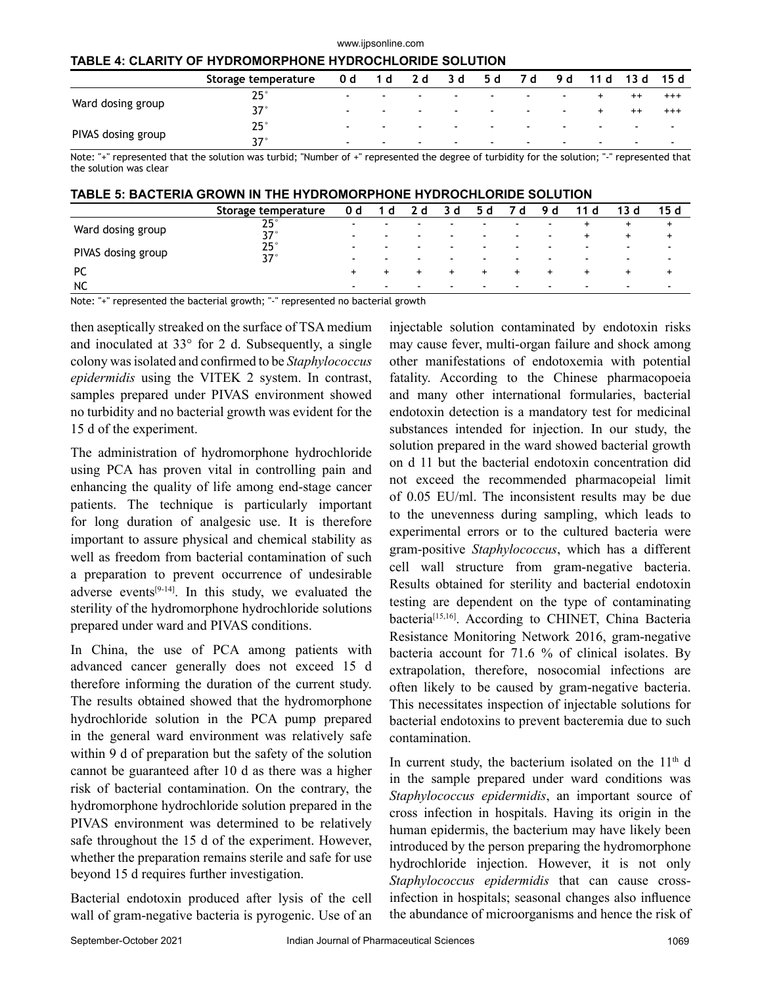| <u>IADLE 4. VLANI I UF FII DNUMUNFFIUNE FII DNUVFILUNIDE SULUTIUN</u> |                     |        |        |                          |                          |                                   |        |                          |                          |                          |                          |
|-----------------------------------------------------------------------|---------------------|--------|--------|--------------------------|--------------------------|-----------------------------------|--------|--------------------------|--------------------------|--------------------------|--------------------------|
|                                                                       | Storage temperature | 0 d    | 1 d    | 2 d                      | 3 d                      | 5 d                               | 7 d    | 9 d                      | 11 d                     | 13 d 15 d                |                          |
| Ward dosing group                                                     | $25^\circ$          | $\sim$ |        | $\sim$                   | $\sim$                   | $\overline{\phantom{0}}$          | $\sim$ | $\blacksquare$           |                          |                          | $^{+++}$                 |
|                                                                       | 37°                 | $\sim$ | $\sim$ | $\sim$                   | $\overline{\phantom{a}}$ | <b>Contract Contract Contract</b> | $\sim$ | $\blacksquare$           |                          | $^{++}$                  | $^{+++}$                 |
| PIVAS dosing group                                                    | 25°                 |        |        | $\overline{\phantom{a}}$ | $\overline{\phantom{a}}$ |                                   |        | $\overline{\phantom{a}}$ |                          | $\overline{\phantom{0}}$ | ٠                        |
|                                                                       | $37^\circ$          | $\sim$ |        | $\overline{\phantom{a}}$ | $\sim$                   | $\sim$                            | $\sim$ | $\sim$                   | $\overline{\phantom{a}}$ | $\blacksquare$           | $\overline{\phantom{a}}$ |

www.ijpsonline.com

## **TABLE 4: CLARITY OF HYDROMORPHONE HYDROCHLORIDE SOLUTION**

Note: "+" represented that the solution was turbid; "Number of +" represented the degree of turbidity for the solution; "-" represented that the solution was clear

|                    | Storage temperature | 0 <sub>d</sub>           | 1 d                      | 2d                       | 3 d                      | 5 d                      | 7 d                      | 9 d                      |                          | 13 d                     | 15d                      |
|--------------------|---------------------|--------------------------|--------------------------|--------------------------|--------------------------|--------------------------|--------------------------|--------------------------|--------------------------|--------------------------|--------------------------|
| Ward dosing group  | 25°                 | $\overline{\phantom{0}}$ | $\overline{\phantom{0}}$ | $\overline{\phantom{0}}$ | ٠                        | -                        | $\overline{\phantom{a}}$ | $\overline{\phantom{0}}$ | ÷                        | ÷                        |                          |
|                    | <b>27°</b>          | $\overline{\phantom{a}}$ | $\overline{\phantom{0}}$ | $\overline{\phantom{0}}$ | $\overline{\phantom{a}}$ | $\overline{\phantom{a}}$ | $\overline{\phantom{a}}$ | $\overline{\phantom{a}}$ | $\pm$                    | ÷                        | $\div$                   |
| PIVAS dosing group | 25°                 | $\overline{\phantom{0}}$ | $\overline{\phantom{0}}$ | $\overline{\phantom{0}}$ | -                        | $\overline{\phantom{0}}$ | -                        | $\overline{\phantom{0}}$ | $\overline{\phantom{0}}$ | $\overline{\phantom{a}}$ | $\overline{\phantom{a}}$ |
|                    | $37^\circ$          |                          |                          | $\overline{\phantom{0}}$ | -                        | $\overline{\phantom{a}}$ | $\overline{\phantom{a}}$ | $\sim$                   | $\overline{\phantom{a}}$ | $\overline{\phantom{a}}$ | $\overline{\phantom{a}}$ |
| PC                 |                     | $\ddot{}$                | ÷.                       | ÷                        | $+$                      | $+$                      | $+$                      | $+$                      | $\div$                   |                          | $\pm$                    |
| NC                 |                     | $\overline{\phantom{a}}$ | $\overline{\phantom{0}}$ | $\blacksquare$           | -                        | $\sim$                   | $\sim$                   | $\overline{\phantom{a}}$ | $\blacksquare$           | $\blacksquare$           | $\overline{\phantom{a}}$ |

Note: "+" represented the bacterial growth; "-" represented no bacterial growth

then aseptically streaked on the surface of TSA medium and inoculated at 33° for 2 d. Subsequently, a single colony was isolated and confirmed to be *Staphylococcus epidermidis* using the VITEK 2 system. In contrast, samples prepared under PIVAS environment showed no turbidity and no bacterial growth was evident for the 15 d of the experiment.

The administration of hydromorphone hydrochloride using PCA has proven vital in controlling pain and enhancing the quality of life among end-stage cancer patients. The technique is particularly important for long duration of analgesic use. It is therefore important to assure physical and chemical stability as well as freedom from bacterial contamination of such a preparation to prevent occurrence of undesirable adverse events $[9-14]$ . In this study, we evaluated the sterility of the hydromorphone hydrochloride solutions prepared under ward and PIVAS conditions.

In China, the use of PCA among patients with advanced cancer generally does not exceed 15 d therefore informing the duration of the current study. The results obtained showed that the hydromorphone hydrochloride solution in the PCA pump prepared in the general ward environment was relatively safe within 9 d of preparation but the safety of the solution cannot be guaranteed after 10 d as there was a higher risk of bacterial contamination. On the contrary, the hydromorphone hydrochloride solution prepared in the PIVAS environment was determined to be relatively safe throughout the 15 d of the experiment. However, whether the preparation remains sterile and safe for use beyond 15 d requires further investigation.

Bacterial endotoxin produced after lysis of the cell wall of gram-negative bacteria is pyrogenic. Use of an

injectable solution contaminated by endotoxin risks may cause fever, multi-organ failure and shock among other manifestations of endotoxemia with potential fatality. According to the Chinese pharmacopoeia and many other international formularies, bacterial endotoxin detection is a mandatory test for medicinal substances intended for injection. In our study, the solution prepared in the ward showed bacterial growth on d 11 but the bacterial endotoxin concentration did not exceed the recommended pharmacopeial limit of 0.05 EU/ml. The inconsistent results may be due to the unevenness during sampling, which leads to experimental errors or to the cultured bacteria were gram-positive *Staphylococcus*, which has a different cell wall structure from gram-negative bacteria. Results obtained for sterility and bacterial endotoxin testing are dependent on the type of contaminating bacteria<sup>[15,16]</sup>. According to CHINET, China Bacteria Resistance Monitoring Network 2016, gram-negative bacteria account for 71.6 % of clinical isolates. By extrapolation, therefore, nosocomial infections are often likely to be caused by gram-negative bacteria. This necessitates inspection of injectable solutions for bacterial endotoxins to prevent bacteremia due to such contamination.

In current study, the bacterium isolated on the  $11<sup>th</sup>$  d in the sample prepared under ward conditions was *Staphylococcus epidermidis*, an important source of cross infection in hospitals. Having its origin in the human epidermis, the bacterium may have likely been introduced by the person preparing the hydromorphone hydrochloride injection. However, it is not only *Staphylococcus epidermidis* that can cause crossinfection in hospitals; seasonal changes also influence the abundance of microorganisms and hence the risk of